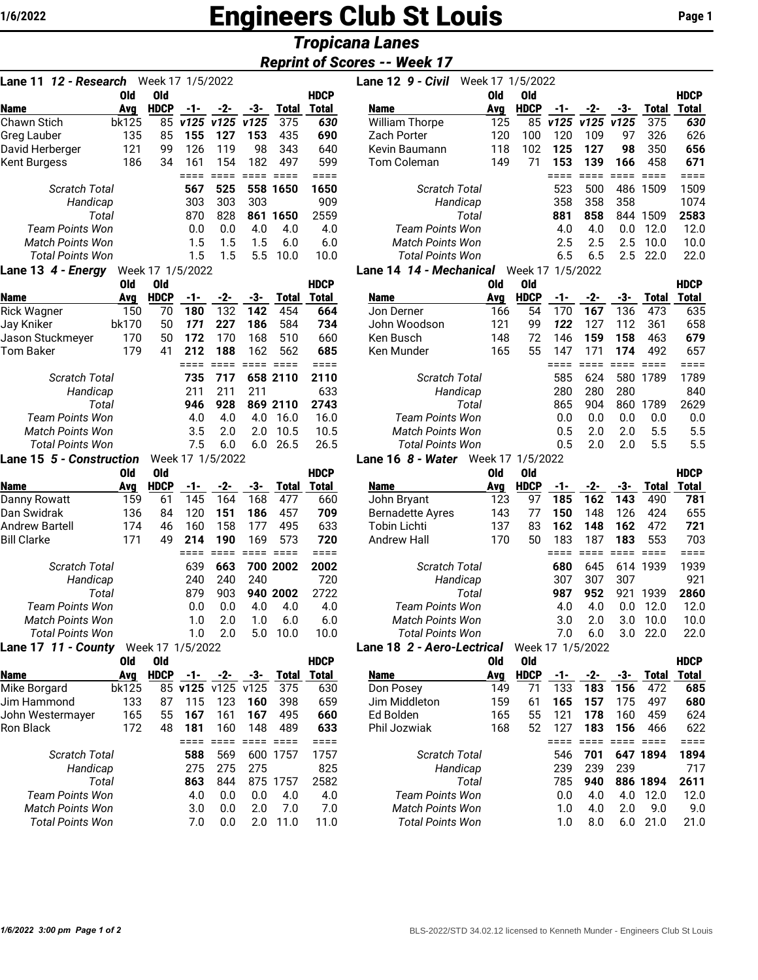# **1/6/2022** Engineers Club St Louis **Page 1**

## *Tropicana Lanes*

### *Reprint of Scores -- Week 17*

| 12 - Research<br>Lane 11                          |            | Week 17 1/5/2022 |                  |               |             |                 |               |
|---------------------------------------------------|------------|------------------|------------------|---------------|-------------|-----------------|---------------|
|                                                   | Old        | <b>Old</b>       |                  |               |             |                 | HDCP          |
| <b>Name</b>                                       | Avg        | <b>HDCP</b>      | $-1-$            | $-2-$         | -3-         | <b>Total</b>    | <b>Total</b>  |
| Chawn Stich                                       | bk125      | 85               | v125             | v125          | v125        | 375             | 630           |
| Greg Lauber                                       | 135        | 85               | 155              | 127           | 153         | 435             | 690           |
| David Herberger                                   | 121<br>186 | 99               | 126<br>161       | 119<br>154    | 98<br>182   | 343<br>497      | 640<br>599    |
| Kent Burgess                                      |            | 34               | ====             | $====$        | ====        | $====$          | $====$        |
| <b>Scratch Total</b>                              |            |                  | 567              | 525           | 558         | 1650            | 1650          |
| Handicap                                          |            |                  | 303              | 303           | 303         |                 | 909           |
| Total                                             |            |                  | 870              | 828           | 861         | 1650            | 2559          |
| <b>Team Points Won</b>                            |            |                  | 0.0              | 0.0           | 4.0         | 4.0             | 4.0           |
| <b>Match Points Won</b>                           |            |                  | 1.5              | 1.5           | 1.5         | 6.0             | 6.0           |
| <b>Total Points Won</b>                           |            |                  | 1.5              | 1.5           | 5.5         | 10.0            | 10.0          |
| Lane 13 4 - Energy                                |            | Week 17 1/5/2022 |                  |               |             |                 |               |
|                                                   | Old        | <b>Old</b>       |                  |               |             |                 | <b>HDCP</b>   |
| <b>Name</b>                                       | Avg        | <b>HDCP</b>      | -1-              | $-2-$         | $-3-$       | <b>Total</b>    | Total         |
| <b>Rick Wagner</b>                                | 150        | 70               | 180              | 132           | 142         | 454             | 664           |
| Jay Kniker                                        | bk170      | 50               | 171              | 227           | 186         | 584             | 734           |
| Jason Stuckmeyer                                  | 170        | 50               | 172              | 170           | 168         | 510             | 660           |
| Tom Baker                                         | 179        | 41               | 212              | 188           | 162         | 562             | 685           |
|                                                   |            |                  | ====             | ====          | ====        | $=$ $=$ $=$ $=$ | $====$        |
| <b>Scratch Total</b>                              |            |                  | 735              | 717           |             | 658 2110        | 2110          |
| Handicap                                          |            |                  | 211              | 211           | 211         |                 | 633           |
| Total                                             |            |                  | 946              | 928           |             | 869 2110        | 2743          |
| <b>Team Points Won</b><br><b>Match Points Won</b> |            |                  | 4.0              | 4.0<br>2.0    | 4.0<br>2.0  | 16.0<br>10.5    | 16.0          |
| <b>Total Points Won</b>                           |            |                  | 3.5<br>7.5       |               | 6.0         | 26.5            | 10.5<br>26.5  |
| <b>Lane 15 5 - Construction</b>                   |            |                  | Week 17 1/5/2022 | 6.0           |             |                 |               |
|                                                   | <b>Old</b> | Old              |                  |               |             |                 | <b>HDCP</b>   |
| <b>Name</b>                                       | Avg        | <b>HDCP</b>      | -1-              | -2-           | -3-         | <b>Total</b>    | <b>Total</b>  |
| Danny Rowatt                                      | 159        | 61               | 145              | 164           | 168         | 477             | 660           |
| Dan Swidrak                                       | 136        | 84               | 120              | 151           | 186         | 457             | 709           |
| <b>Andrew Bartell</b>                             | 174        | 46               | 160              | 158           | 177         | 495             | 633           |
| <b>Bill Clarke</b>                                | 171        | 49               | 214              | 190           | 169         | 573             | 720           |
|                                                   |            |                  | ====             | ====          | $====$      | ====            | ====          |
| Scratch Total                                     |            |                  | 639              | 663           |             | 700 2002        | 2002          |
| Handicap                                          |            |                  | 240              | 240           | 240         |                 | 720           |
| Total                                             |            |                  | 879              | 903           |             | 940 2002        | 2722          |
| <b>Team Points Won</b>                            |            |                  | 0.0              | 0.0           | 4.0         | 4.0             | 4.0           |
| <b>Match Points Won</b>                           |            |                  | 1.0              | 2.0           | 1.0         | 6.0             | 6.0           |
| <b>Total Points Won</b>                           |            |                  | 1.0              | 2.0           | 5.0         | 10.0            | 10.0          |
| Lane 17 11 - County                               |            | Week 17 1/5/2022 |                  |               |             |                 |               |
|                                                   | Old        | <b>Old</b>       |                  |               |             |                 | <b>HDCP</b>   |
| <b>Name</b>                                       | Avg        | <b>HDCP</b>      | -1-              | $-2-$         | $-3-$       | <b>Total</b>    | <b>Total</b>  |
| Mike Borgard                                      | bk125      |                  | 85 v125          | v125          | v125        | 375             | 630           |
| Jim Hammond                                       | 133<br>165 | 87               | 115              | 123           | 160         | 398             | 659           |
| John Westermayer                                  | 172        | 55<br>48         | 167              | 161           | 167         | 495             | 660           |
| Ron Black                                         |            |                  | 181<br>====      | 160<br>$====$ | 148<br>==== | 489<br>$====$   | 633<br>$====$ |
|                                                   |            |                  |                  |               |             | 1757            |               |
| <b>Scratch Total</b><br>Handicap                  |            |                  | 588<br>275       | 569<br>275    | 600<br>275  |                 | 1757<br>825   |
| Total                                             |            |                  | 863              | 844           | 875         | 1757            | 2582          |
| Team Points Won                                   |            |                  | 4.0              | 0.0           | 0.0         | 4.0             | 4.0           |
| <b>Match Points Won</b>                           |            |                  | 3.0              | 0.0           | 2.0         | 7.0             | 7.0           |
| <b>Total Points Won</b>                           |            |                  | 7.0              | 0.0           | 2.0         | 11.0            | 11.0          |
|                                                   |            |                  |                  |               |             |                 |               |

| Lane 11 <i>12 - Research</i> |            | Week 17 1/5/2022 |      |      |      |              |              | Lane 12 9 - Civil       | Week 17 1/5/2022 |                  |      |      |      |              |             |
|------------------------------|------------|------------------|------|------|------|--------------|--------------|-------------------------|------------------|------------------|------|------|------|--------------|-------------|
|                              | <b>Old</b> | 0ld              |      |      |      |              | <b>HDCP</b>  |                         | Old              | Old              |      |      |      |              | <b>HDCP</b> |
| <b>Name</b>                  | Avg        | <b>HDCP</b>      | -1-  | -2-  | -3-  | <b>Total</b> | <b>Total</b> | <b>Name</b>             | Avg              | <b>HDCP</b>      | -1-  | -2-  | -3-  | Total        | Total       |
| Chawn Stich                  | bk125      | 85               | v125 | v125 | v125 | 375          | 630          | <b>William Thorpe</b>   | 125              | 85               | v125 | v125 | v125 | 375          | 630         |
| Greg Lauber                  | 135        | 85               | 155  | 127  | 153  | 435          | 690          | <b>Zach Porter</b>      | 120              | 100              | 120  | 109  | 97   | 326          | 626         |
| David Herberger              | 121        | 99               | 126  | 119  | 98   | 343          | 640          | Kevin Baumann           | 118              | 102              | 125  | 127  | 98   | 350          | 656         |
| Kent Burgess                 | 186        | 34               | 161  | 154  | 182  | 497          | 599          | Tom Coleman             | 149              | 71               | 153  | 139  | 166  | 458          | 671         |
|                              |            |                  |      |      |      |              | ====         |                         |                  |                  |      |      |      |              | ====        |
| <b>Scratch Total</b>         |            |                  | 567  | 525  | 558  | 1650         | 1650         | <b>Scratch Total</b>    |                  |                  | 523  | 500  | 486  | 1509         | 1509        |
| Handicap                     |            |                  | 303  | 303  | 303  |              | 909          | Handicap                |                  |                  |      | 358  | 358  |              | 1074        |
| Total                        |            |                  | 870  | 828  | 861  | 1650         | 2559         | Total                   |                  |                  |      | 858  | 844  | 1509         | 2583        |
| <b>Team Points Won</b>       |            |                  | 0.0  | 0.0  | 4.0  | 4.0          | 4.0          | Team Points Won         |                  |                  |      | 4.0  | 0.0  | 12.0         | 12.0        |
| <b>Match Points Won</b>      |            |                  | 1.5  | 1.5  | 1.5  | 6.0          | 6.0          | <b>Match Points Won</b> |                  |                  | 2.5  | 2.5  | 2.5  | 10.0         | 10.0        |
| <b>Total Points Won</b>      |            |                  | 1.5  | 1.5  | 5.5  | 10.0         | 10.0         | <b>Total Points Won</b> |                  |                  | 6.5  | 6.5  | 2.5  | 22.0         | 22.0        |
| Lane 13 4 - Energy           |            | Week 17 1/5/2022 |      |      |      |              |              | Lane 14 14 - Mechanical |                  | Week 17 1/5/2022 |      |      |      |              |             |
|                              | <b>Old</b> | 0ld              |      |      |      |              | <b>HDCP</b>  |                         | Old              | <b>Old</b>       |      |      |      |              | <b>HDCP</b> |
| <b>Name</b>                  | Avg        | <b>HDCP</b>      | -1-  | -2-  | -3-  | <b>Total</b> | <b>Total</b> | <b>Name</b>             | Avg              | <b>HDCP</b>      | -1-  | -2-  | -3-  | <b>Total</b> | Total       |
| Rick Wagner                  | 150        | 70               | 180  | 132  | 142  | 454          | 664          | Jon Derner              | 166              | 54               | 170  | 167  | 136  | 473          | 635         |
| Jay Kniker                   | bk170      | 50               | 171  | 227  | 186  | 584          | 734          | John Woodson            | 121              | 99               | 122  | 127  | 112  | 361          | 658         |
| Jason Stuckmeyer             | 170        | 50               | 172  | 170  | 168  | 510          | 660          | Ken Busch               | 148              | 72               | 146  | 159  | 158  | 463          | 679         |
| Tom Baker                    | 179        | 41               | 212  | 188  | 162  | 562          | 685          | Ken Munder              | 165              | 55               | 147  | 171  | 174  | 492          | 657         |
|                              |            |                  |      |      |      |              |              |                         |                  |                  |      |      |      |              |             |
| <b>Scratch Total</b>         |            |                  | 735  | 717  |      | 658 2110     | 2110         | <b>Scratch Total</b>    |                  |                  | 585  | 624  | 580  | 1789         | 1789        |

|                          | Old | Old                       |     |     |     |              | HDCP  |
|--------------------------|-----|---------------------------|-----|-----|-----|--------------|-------|
| <b>Name</b>              | Ava | <b>HDCP</b>               | -1- | -2- | -3- | <b>Total</b> | Total |
| Jon Derner               | 166 | 54                        | 170 | 167 | 136 | 473          | 635   |
| John Woodson             | 121 | 99                        | 122 | 127 | 112 | 361          | 658   |
| Ken Busch                | 148 | 72                        | 146 | 159 | 158 | 463          | 679   |
| Ken Munder               | 165 | 55                        | 147 | 171 | 174 | 492          | 657   |
|                          |     |                           |     |     |     |              |       |
| <b>Scratch Total</b>     |     |                           | 585 | 624 | 580 | 1789         | 1789  |
| Handicap                 |     |                           | 280 | 280 | 280 |              | 840   |
| Total                    |     |                           | 865 | 904 | 860 | 1789         | 2629  |
| Team Points Won          |     |                           | 0.0 | 0.0 | 0.0 | 0.0          | 0.0   |
| Match Points Won         |     |                           | 0.5 | 2.0 | 2.0 | 5.5          | 5.5   |
| Total Points Won         |     |                           | 0.5 | 2.0 | 2.0 | 5.5          | 5.5   |
| $\sim$ 111 $\sim$ $\sim$ |     | $\mathbf{r}$ $\mathbf{r}$ |     |     |     |              |       |

### **Lane 16** *8 - Water* Week 17 1/5/2022

|                                   | 0ld | 0ld              |     |       |     |              | <b>HDCP</b> |                            | <b>Old</b> | <b>Old</b>       |     |       |     |          | <b>HDCP</b> |
|-----------------------------------|-----|------------------|-----|-------|-----|--------------|-------------|----------------------------|------------|------------------|-----|-------|-----|----------|-------------|
| <b>Name</b>                       | Ava | <b>HDCP</b>      | -1- | $-2-$ | -3- | <b>Total</b> | Total       | <b>Name</b>                | Avg        | <b>HDCP</b>      | -1- | $-2-$ | -3- | Total    | Total       |
| Danny Rowatt                      | 159 | 61               | 145 | 164   | 168 | 477          | 660         | John Bryant                | 123        | 97               | 185 | 162   | 143 | 490      | 781         |
| Dan Swidrak                       | 136 | 84               | 120 | 151   | 186 | 457          | 709         | <b>Bernadette Ayres</b>    | 143        | 77               | 150 | 148   | 126 | 424      | 655         |
| Andrew Bartell                    | 174 | 46               | 160 | 158   | 177 | 495          | 633         | <b>Tobin Lichti</b>        | 137        | 83               | 162 | 148   | 162 | 472      | 721         |
| <b>Bill Clarke</b>                | 171 | 49               | 214 | 190   | 169 | 573          | 720         | <b>Andrew Hall</b>         | 170        | 50               | 183 | 187   | 183 | 553      | 703         |
|                                   |     |                  |     |       |     |              |             |                            |            |                  |     |       |     |          |             |
| <b>Scratch Total</b>              |     |                  | 639 | 663   |     | 700 2002     | 2002        | <b>Scratch Total</b>       |            |                  | 680 | 645   |     | 614 1939 | 1939        |
| Handicap                          |     |                  | 240 | 240   | 240 |              | 720         | Handicap                   |            |                  | 307 | 307   | 307 |          | 921         |
| Total                             |     |                  | 879 | 903   |     | 940 2002     | 2722        | Total                      |            |                  | 987 | 952   | 921 | 1939     | 2860        |
| <b>Team Points Won</b>            |     |                  | 0.0 | 0.0   | 4.0 | 4.0          | 4.0         | Team Points Won            |            |                  | 4.0 | 4.0   | 0.0 | 12.0     | 12.0        |
| <b>Match Points Won</b>           |     |                  | 1.0 | 2.0   | 1.0 | 6.0          | 6.0         | <b>Match Points Won</b>    |            |                  | 3.0 | 2.0   | 3.0 | 10.0     | 10.0        |
| <b>Total Points Won</b>           |     |                  | 1.0 | 2.0   | 5.0 | 10.0         | 10.0        | <b>Total Points Won</b>    |            |                  | 7.0 | 6.0   | 3.0 | 22.0     | 22.0        |
| <b>Lane 17 <i>11 - Countv</i></b> |     | Week 17 1/5/2022 |     |       |     |              |             | Lane 18 2 - Aero-Lectrical |            | Week 17 1/5/2022 |     |       |     |          |             |
|                                   | 0ld | 0ld              |     |       |     |              | <b>HDCP</b> |                            | Old        | <b>Old</b>       |     |       |     |          | <b>HDCP</b> |

| via                     | via         |     |     |      |              |              |               | via | via                                                                                                         |     |     |     |       | MVLP                |
|-------------------------|-------------|-----|-----|------|--------------|--------------|---------------|-----|-------------------------------------------------------------------------------------------------------------|-----|-----|-----|-------|---------------------|
| Avg                     | <b>HDCP</b> | -1- | -2- | -3-  | <b>Total</b> | <b>Total</b> | <b>Name</b>   | Avg | <b>HDCP</b>                                                                                                 | -1- | -2- | -3- | Total | Total               |
| bk125                   |             |     |     | v125 | 375          | 630          | Don Posey     | 149 | 71                                                                                                          | 133 | 183 | 156 | 472   | 685                 |
| 133                     | 87          | 115 | 123 | 160  | 398          | 659          | Jim Middleton | 159 | 61                                                                                                          | 165 | 157 | 175 | 497   | 680                 |
| 165                     | 55          | 167 | 161 | 167  | 495          | 660          | Ed Bolden     | 165 | 55                                                                                                          | 121 | 178 | 160 | 459   | 624                 |
| 172                     | 48          | 181 | 160 | 148  | 489          | 633          | Phil Jozwiak  | 168 | 52                                                                                                          | 127 | 183 | 156 | 466   | 622                 |
|                         |             |     |     |      |              |              |               |     |                                                                                                             |     |     |     |       |                     |
| Scratch Total           |             | 588 | 569 | 600  | 1757         | 1757         |               |     |                                                                                                             | 546 | 701 | 647 |       | 1894                |
| Handicap                |             | 275 | 275 | 275  |              | 825          |               |     |                                                                                                             | 239 | 239 | 239 |       | 717                 |
| Total                   |             | 863 | 844 |      | 1757         | 2582         |               |     |                                                                                                             | 785 | 940 |     |       | 2611                |
| Team Points Won         |             | 4.0 | 0.0 | 0.0  | 4.0          | 4.0          |               |     |                                                                                                             | 0.0 | 4.0 | 4.0 | 12.0  | 12.0                |
| <b>Match Points Won</b> |             | 3.0 | 0.0 | 2.0  | 7.0          | 7.0          |               |     |                                                                                                             | 1.0 | 4.0 | 2.0 | 9.0   | 9.0                 |
| <b>Total Points Won</b> |             | 7.0 | 0.0 | 2.0  | 11.0         | 11.0         |               |     |                                                                                                             | 1.0 | 8.0 | 6.0 | 21.0  | 21.0                |
|                         |             |     |     |      | 85 v125 v125 | 875          | MVLP          |     | <b>Scratch Total</b><br>Handicap<br>Total<br>Team Points Won<br><b>Match Points Won</b><br>Total Points Won |     |     |     |       | 1894<br>886<br>1894 |